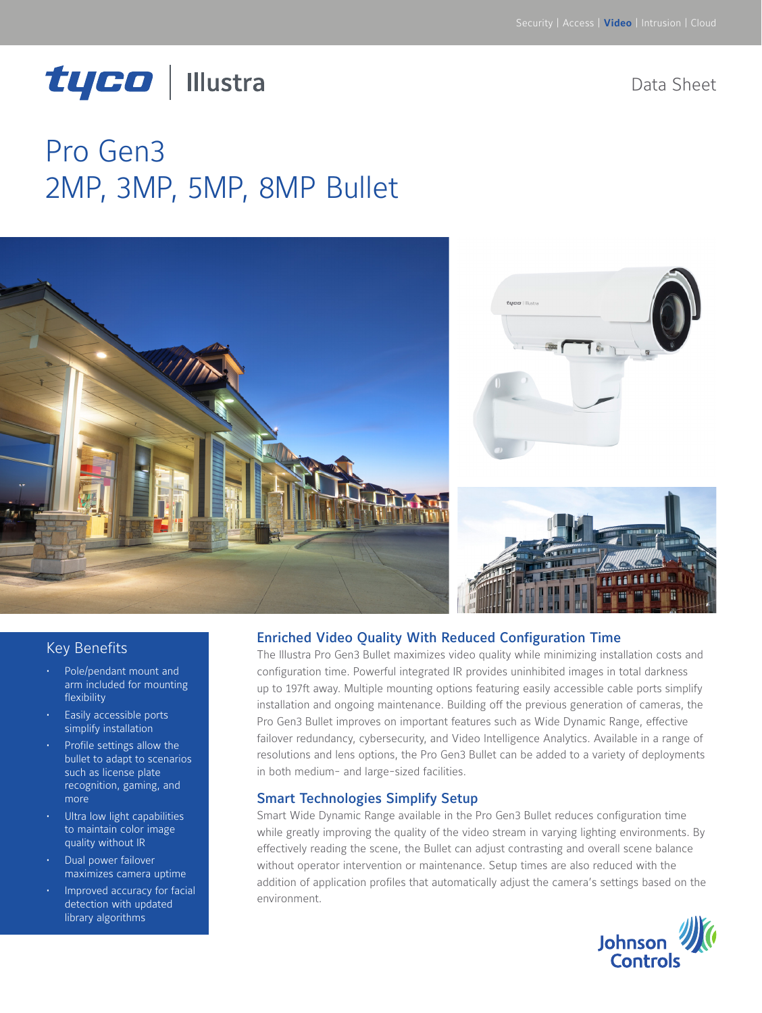# tyco | Illustra

Data Sheet

## Pro Gen3 2MP, 3MP, 5MP, 8MP Bullet



#### Key Benefits

- Pole/pendant mount and arm included for mounting flexibility
- Easily accessible ports simplify installation
- Profile settings allow the bullet to adapt to scenarios such as license plate recognition, gaming, and more
- Ultra low light capabilities to maintain color image quality without IR
- Dual power failover maximizes camera uptime
- Improved accuracy for facial detection with updated library algorithms

#### Enriched Video Quality With Reduced Configuration Time

The Illustra Pro Gen3 Bullet maximizes video quality while minimizing installation costs and configuration time. Powerful integrated IR provides uninhibited images in total darkness up to 197ft away. Multiple mounting options featuring easily accessible cable ports simplify installation and ongoing maintenance. Building off the previous generation of cameras, the Pro Gen3 Bullet improves on important features such as Wide Dynamic Range, effective failover redundancy, cybersecurity, and Video Intelligence Analytics. Available in a range of resolutions and lens options, the Pro Gen3 Bullet can be added to a variety of deployments in both medium- and large-sized facilities.

#### Smart Technologies Simplify Setup

Smart Wide Dynamic Range available in the Pro Gen3 Bullet reduces configuration time while greatly improving the quality of the video stream in varying lighting environments. By effectively reading the scene, the Bullet can adjust contrasting and overall scene balance without operator intervention or maintenance. Setup times are also reduced with the addition of application profiles that automatically adjust the camera's settings based on the environment.

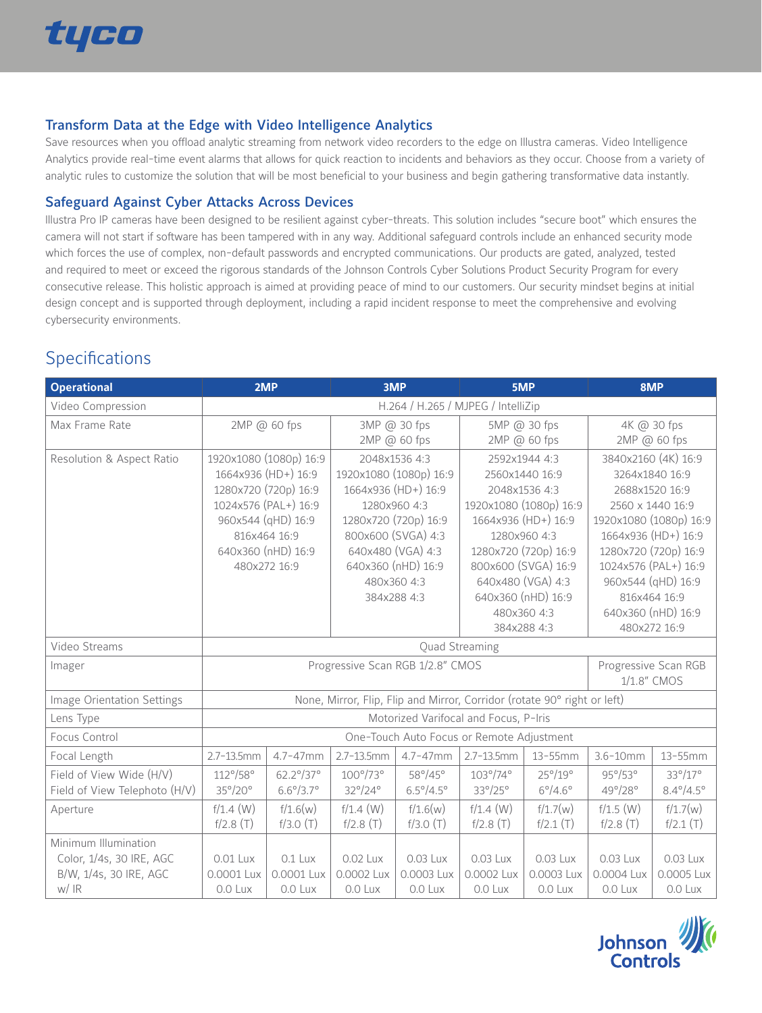

#### Transform Data at the Edge with Video Intelligence Analytics

Save resources when you offload analytic streaming from network video recorders to the edge on Illustra cameras. Video Intelligence Analytics provide real-time event alarms that allows for quick reaction to incidents and behaviors as they occur. Choose from a variety of analytic rules to customize the solution that will be most beneficial to your business and begin gathering transformative data instantly.

#### Safeguard Against Cyber Attacks Across Devices

Illustra Pro IP cameras have been designed to be resilient against cyber-threats. This solution includes "secure boot" which ensures the camera will not start if software has been tampered with in any way. Additional safeguard controls include an enhanced security mode which forces the use of complex, non-default passwords and encrypted communications. Our products are gated, analyzed, tested and required to meet or exceed the rigorous standards of the Johnson Controls Cyber Solutions Product Security Program for every consecutive release. This holistic approach is aimed at providing peace of mind to our customers. Our security mindset begins at initial design concept and is supported through deployment, including a rapid incident response to meet the comprehensive and evolving cybersecurity environments.

## **Specifications**

| <b>Operational</b>            | 2MP                                                                      |                           | 3MP                              | 5MP                       |                        | 8MP                                 |                        |                                    |  |
|-------------------------------|--------------------------------------------------------------------------|---------------------------|----------------------------------|---------------------------|------------------------|-------------------------------------|------------------------|------------------------------------|--|
| Video Compression             | H.264 / H.265 / MJPEG / IntelliZip                                       |                           |                                  |                           |                        |                                     |                        |                                    |  |
| Max Frame Rate                | 2MP @ 60 fps                                                             |                           | 3MP @ 30 fps                     |                           | 5MP @ 30 fps           |                                     | 4K @ 30 fps            |                                    |  |
|                               |                                                                          |                           | 2MP @ 60 fps                     |                           | 2MP @ 60 fps           |                                     | 2MP @ 60 fps           |                                    |  |
| Resolution & Aspect Ratio     |                                                                          | 1920x1080 (1080p) 16:9    |                                  | 2048x1536 4:3             |                        | 2592x1944 4:3                       |                        | 3840x2160 (4K) 16:9                |  |
|                               |                                                                          | 1664x936 (HD+) 16:9       | 1920x1080 (1080p) 16:9           |                           | 2560x1440 16:9         |                                     | 3264x1840 16:9         |                                    |  |
|                               |                                                                          | 1280x720 (720p) 16:9      | 1664x936 (HD+) 16:9              |                           | 2048x1536 4:3          |                                     | 2688x1520 16:9         |                                    |  |
|                               |                                                                          | 1024x576 (PAL+) 16:9      | 1280x960 4:3                     |                           | 1920x1080 (1080p) 16:9 |                                     | 2560 x 1440 16:9       |                                    |  |
|                               |                                                                          | 960x544 (qHD) 16:9        | 1280x720 (720p) 16:9             |                           | 1664x936 (HD+) 16:9    |                                     | 1920x1080 (1080p) 16:9 |                                    |  |
|                               |                                                                          | 816x464 16:9              | 800x600 (SVGA) 4:3               |                           | 1280x960 4:3           |                                     | 1664x936 (HD+) 16:9    |                                    |  |
|                               |                                                                          | 640x360 (nHD) 16:9        | 640x480 (VGA) 4:3                |                           | 1280x720 (720p) 16:9   |                                     | 1280x720 (720p) 16:9   |                                    |  |
|                               |                                                                          | 480x272 16:9              |                                  | 640x360 (nHD) 16:9        |                        | 800x600 (SVGA) 16:9                 |                        | 1024x576 (PAL+) 16:9               |  |
|                               |                                                                          |                           |                                  | 480x360 4:3               |                        | 640x480 (VGA) 4:3                   |                        | 960x544 (qHD) 16:9                 |  |
|                               |                                                                          |                           |                                  | 384x288 4:3               |                        | 640x360 (nHD) 16:9                  |                        | 816x464 16:9                       |  |
|                               |                                                                          |                           |                                  |                           |                        | 480x360 4:3                         |                        | 640x360 (nHD) 16:9<br>480x272 16:9 |  |
|                               |                                                                          | 384x288 4:3               |                                  |                           |                        |                                     |                        |                                    |  |
| Video Streams                 | Quad Streaming                                                           |                           |                                  |                           |                        |                                     |                        |                                    |  |
| Imager                        |                                                                          |                           | Progressive Scan RGB 1/2.8" CMOS |                           |                        | Progressive Scan RGB<br>1/1.8" CMOS |                        |                                    |  |
|                               |                                                                          |                           |                                  |                           |                        |                                     |                        |                                    |  |
| Image Orientation Settings    | None, Mirror, Flip, Flip and Mirror, Corridor (rotate 90° right or left) |                           |                                  |                           |                        |                                     |                        |                                    |  |
| Lens Type                     | Motorized Varifocal and Focus, P-Iris                                    |                           |                                  |                           |                        |                                     |                        |                                    |  |
| Focus Control                 | One-Touch Auto Focus or Remote Adjustment                                |                           |                                  |                           |                        |                                     |                        |                                    |  |
| Focal Length                  | $2.7 - 13.5$ mm                                                          | $4.7 - 47$ mm             | $2.7 - 13.5$ mm                  | $4.7 - 47$ mm             | $2.7 - 13.5$ mm        | $13-55$ mm                          | $3.6 - 10$ mm          | $13 - 55$ mm                       |  |
| Field of View Wide (H/V)      | $112^{\circ}/58^{\circ}$                                                 | 62.2°/37°                 | $100^\circ/73^\circ$             | 58°/45°                   | $103^\circ/74^\circ$   | 25°/19°                             | 95°/53°                | 33°/17°                            |  |
| Field of View Telephoto (H/V) | 35°/20°                                                                  | $6.6^{\circ}/3.7^{\circ}$ | 32°/24°                          | $6.5^{\circ}/4.5^{\circ}$ | 33°/25°                | $6^{\circ}/4.6^{\circ}$             | 49°/28°                | $8.4^{\circ}/4.5^{\circ}$          |  |
| Aperture                      | $f/1.4$ (W)                                                              | f/1.6(w)                  | $f/1.4$ (W)                      | f/1.6(w)                  | $f/1.4$ (W)            | f/1.7(w)                            | $f/1.5$ (W)            | f/1.7(w)                           |  |
|                               | f/2.8(T)                                                                 | f/3.0(T)                  | f/2.8(T)                         | f/3.0(T)                  | f/2.8(T)               | f/2.1(T)                            | f/2.8(T)               | f/2.1(T)                           |  |
| Minimum Illumination          |                                                                          |                           |                                  |                           |                        |                                     |                        |                                    |  |
| Color, 1/4s, 30 IRE, AGC      | 0.01 Lux                                                                 | 0.1 Lux                   | 0.02 Lux                         | 0.03 Lux                  | 0.03 Lux               | $0.03$ Lux                          | 0.03 Lux               | 0.03 Lux                           |  |
| B/W, 1/4s, 30 IRE, AGC        | 0.0001 Lux                                                               | 0.0001 Lux                | 0.0002 Lux                       | 0.0003 Lux                | 0.0002 Lux             | 0.0003 Lux                          | 0.0004 Lux             | 0.0005 Lux                         |  |
| w/ IR                         | 0.0 Lux                                                                  | 0.0 Lux                   | 0.0 Lux                          | 0.0 Lux                   | 0.0 Lux                | 0.0 Lux                             | 0.0 Lux                | 0.0 Lux                            |  |

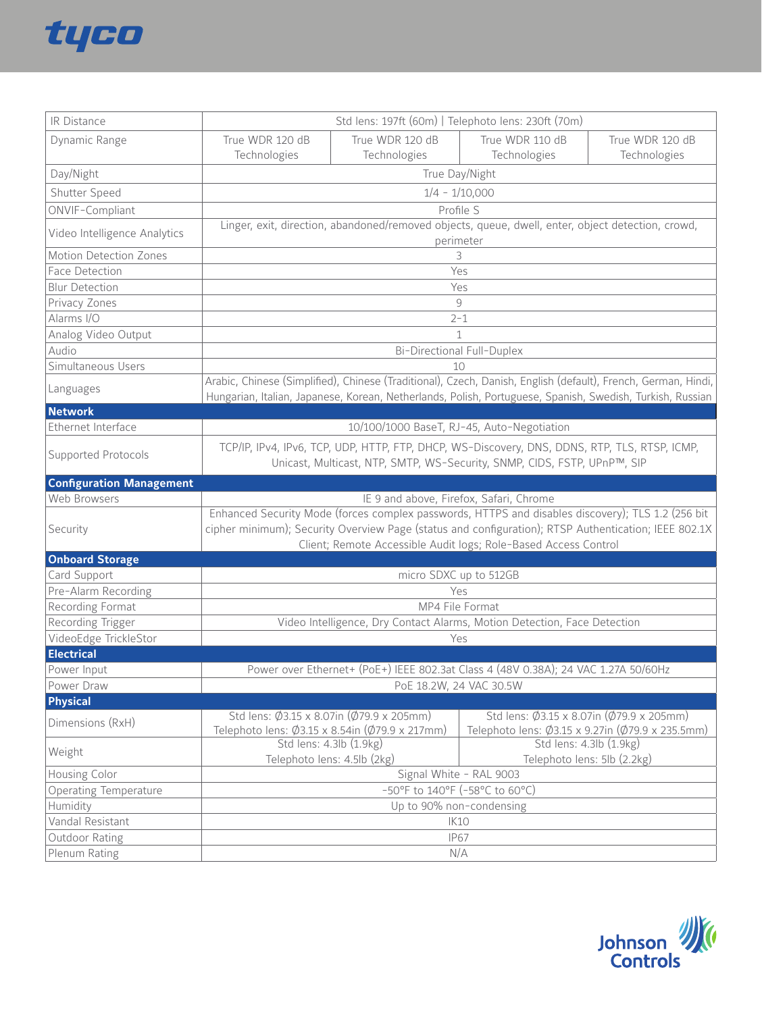

| IR Distance                     | Std lens: 197ft (60m)   Telephoto lens: 230ft (70m)                                                                                                                                                                        |                                                                                            |                                                                                                      |                 |  |
|---------------------------------|----------------------------------------------------------------------------------------------------------------------------------------------------------------------------------------------------------------------------|--------------------------------------------------------------------------------------------|------------------------------------------------------------------------------------------------------|-----------------|--|
| Dynamic Range                   | True WDR 120 dB                                                                                                                                                                                                            | True WDR 120 dB                                                                            | True WDR 110 dB                                                                                      | True WDR 120 dB |  |
|                                 | Technologies                                                                                                                                                                                                               | Technologies                                                                               | Technologies                                                                                         | Technologies    |  |
| Day/Night                       |                                                                                                                                                                                                                            |                                                                                            | True Day/Night                                                                                       |                 |  |
| Shutter Speed                   | $1/4 - 1/10,000$                                                                                                                                                                                                           |                                                                                            |                                                                                                      |                 |  |
| ONVIF-Compliant                 | Profile S                                                                                                                                                                                                                  |                                                                                            |                                                                                                      |                 |  |
|                                 | Linger, exit, direction, abandoned/removed objects, queue, dwell, enter, object detection, crowd,                                                                                                                          |                                                                                            |                                                                                                      |                 |  |
| Video Intelligence Analytics    | perimeter                                                                                                                                                                                                                  |                                                                                            |                                                                                                      |                 |  |
| Motion Detection Zones          |                                                                                                                                                                                                                            |                                                                                            | 3                                                                                                    |                 |  |
| Face Detection                  |                                                                                                                                                                                                                            |                                                                                            | Yes                                                                                                  |                 |  |
| <b>Blur Detection</b>           |                                                                                                                                                                                                                            |                                                                                            | Yes                                                                                                  |                 |  |
| Privacy Zones                   |                                                                                                                                                                                                                            |                                                                                            | 9                                                                                                    |                 |  |
| Alarms I/O                      |                                                                                                                                                                                                                            |                                                                                            | $2 - 1$                                                                                              |                 |  |
| Analog Video Output             | 1                                                                                                                                                                                                                          |                                                                                            |                                                                                                      |                 |  |
| Audio                           | <b>Bi-Directional Full-Duplex</b>                                                                                                                                                                                          |                                                                                            |                                                                                                      |                 |  |
| Simultaneous Users              | 10                                                                                                                                                                                                                         |                                                                                            |                                                                                                      |                 |  |
| Languages                       | Arabic, Chinese (Simplified), Chinese (Traditional), Czech, Danish, English (default), French, German, Hindi,<br>Hungarian, Italian, Japanese, Korean, Netherlands, Polish, Portuguese, Spanish, Swedish, Turkish, Russian |                                                                                            |                                                                                                      |                 |  |
| <b>Network</b>                  |                                                                                                                                                                                                                            |                                                                                            |                                                                                                      |                 |  |
| Ethernet Interface              | 10/100/1000 BaseT, RJ-45, Auto-Negotiation                                                                                                                                                                                 |                                                                                            |                                                                                                      |                 |  |
| Supported Protocols             | TCP/IP, IPv4, IPv6, TCP, UDP, HTTP, FTP, DHCP, WS-Discovery, DNS, DDNS, RTP, TLS, RTSP, ICMP,<br>Unicast, Multicast, NTP, SMTP, WS-Security, SNMP, CIDS, FSTP, UPnP™, SIP                                                  |                                                                                            |                                                                                                      |                 |  |
| <b>Configuration Management</b> |                                                                                                                                                                                                                            |                                                                                            |                                                                                                      |                 |  |
|                                 |                                                                                                                                                                                                                            |                                                                                            |                                                                                                      |                 |  |
| Web Browsers                    |                                                                                                                                                                                                                            | IE 9 and above, Firefox, Safari, Chrome                                                    |                                                                                                      |                 |  |
|                                 |                                                                                                                                                                                                                            |                                                                                            | Enhanced Security Mode (forces complex passwords, HTTPS and disables discovery); TLS 1.2 (256 bit    |                 |  |
| Security                        |                                                                                                                                                                                                                            |                                                                                            | cipher minimum); Security Overview Page (status and configuration); RTSP Authentication; IEEE 802.1X |                 |  |
| <b>Onboard Storage</b>          |                                                                                                                                                                                                                            |                                                                                            | Client; Remote Accessible Audit logs; Role-Based Access Control                                      |                 |  |
| Card Support                    |                                                                                                                                                                                                                            | micro SDXC up to 512GB                                                                     |                                                                                                      |                 |  |
| Pre-Alarm Recording             |                                                                                                                                                                                                                            | Yes                                                                                        |                                                                                                      |                 |  |
| Recording Format                |                                                                                                                                                                                                                            | MP4 File Format                                                                            |                                                                                                      |                 |  |
| Recording Trigger               |                                                                                                                                                                                                                            |                                                                                            | Video Intelligence, Dry Contact Alarms, Motion Detection, Face Detection                             |                 |  |
| VideoEdge TrickleStor           |                                                                                                                                                                                                                            | Yes                                                                                        |                                                                                                      |                 |  |
| <b>Electrical</b>               |                                                                                                                                                                                                                            |                                                                                            |                                                                                                      |                 |  |
| Power Input                     |                                                                                                                                                                                                                            |                                                                                            | Power over Ethernet+ (PoE+) IEEE 802.3at Class 4 (48V 0.38A); 24 VAC 1.27A 50/60Hz                   |                 |  |
| Power Draw                      |                                                                                                                                                                                                                            | PoE 18.2W, 24 VAC 30.5W                                                                    |                                                                                                      |                 |  |
| <b>Physical</b>                 |                                                                                                                                                                                                                            |                                                                                            |                                                                                                      |                 |  |
| Dimensions (RxH)                |                                                                                                                                                                                                                            | Std lens: Ø3.15 x 8.07in (Ø79.9 x 205mm)<br>Telephoto lens: Ø3.15 x 8.54in (Ø79.9 x 217mm) | Std lens: Ø3.15 x 8.07in (Ø79.9 x 205mm)<br>Telephoto lens: Ø3.15 x 9.27in (Ø79.9 x 235.5mm)         |                 |  |
| Weight                          |                                                                                                                                                                                                                            | Std lens: 4.3lb (1.9kg)<br>Telephoto lens: 4.5lb (2kg)                                     | Std lens: 4.3lb (1.9kg)<br>Telephoto lens: 5lb (2.2kg)                                               |                 |  |
| Housing Color                   |                                                                                                                                                                                                                            | Signal White - RAL 9003                                                                    |                                                                                                      |                 |  |
| <b>Operating Temperature</b>    |                                                                                                                                                                                                                            | -50°F to 140°F (-58°C to 60°C)                                                             |                                                                                                      |                 |  |
| Humidity                        |                                                                                                                                                                                                                            | Up to 90% non-condensing                                                                   |                                                                                                      |                 |  |
| Vandal Resistant                |                                                                                                                                                                                                                            |                                                                                            | <b>IK10</b>                                                                                          |                 |  |
| Outdoor Rating<br>Plenum Rating |                                                                                                                                                                                                                            |                                                                                            | <b>IP67</b><br>N/A                                                                                   |                 |  |

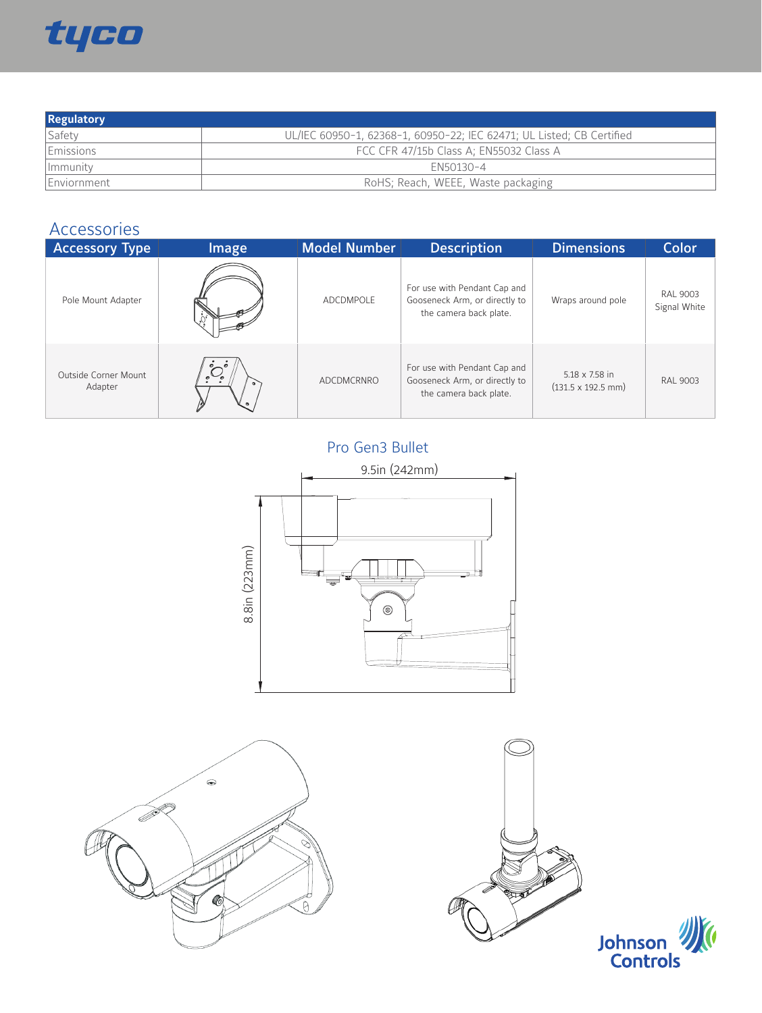

| <b>Regulatory</b> |                                                                       |
|-------------------|-----------------------------------------------------------------------|
| Safety            | UL/IEC 60950-1, 62368-1, 60950-22; IEC 62471; UL Listed; CB Certified |
| Emissions         | FCC CFR 47/15b Class A; EN55032 Class A                               |
| Immunity          | $FN50130 - 4$                                                         |
| Enviornment       | RoHS; Reach, WEEE, Waste packaging                                    |

## Accessories

| <b>Accessory Type</b>           | <b>Image</b>                                     | Model Number | <b>Description</b>                                                                      | <b>Dimensions</b>                                          | Color                           |
|---------------------------------|--------------------------------------------------|--------------|-----------------------------------------------------------------------------------------|------------------------------------------------------------|---------------------------------|
| Pole Mount Adapter              |                                                  | ADCDMPOLF    | For use with Pendant Cap and<br>Gooseneck Arm, or directly to<br>the camera back plate. | Wraps around pole                                          | <b>RAL 9003</b><br>Signal White |
| Outside Corner Mount<br>Adapter | $\bigcirc_{\circ}^{\circ}$<br>$\circ$<br>$\circ$ | ADCDMCRNRO   | For use with Pendant Cap and<br>Gooseneck Arm, or directly to<br>the camera back plate. | $5.18 \times 7.58$ in<br>$(131.5 \times 192.5 \text{ mm})$ | <b>RAL 9003</b>                 |

Pro Gen3 Bullet